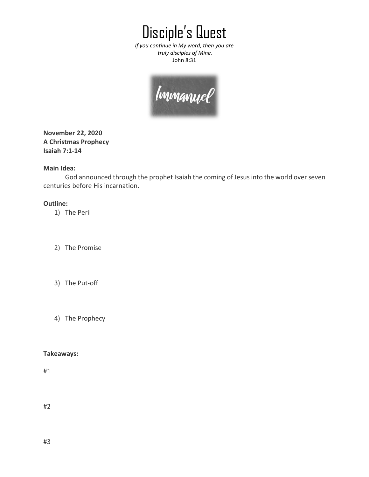Disciple's Quest

*If you continue in My word, then you are truly disciples of Mine.* John 8:31

| Immanuel |
|----------|
|          |

**November 22, 2020 A Christmas Prophecy Isaiah 7:1-14**

## **Main Idea:**

God announced through the prophet Isaiah the coming of Jesus into the world over seven centuries before His incarnation.

## **Outline:**

1) The Peril

- 2) The Promise
- 3) The Put-off
- 4) The Prophecy

## **Takeaways:**

#1

#2